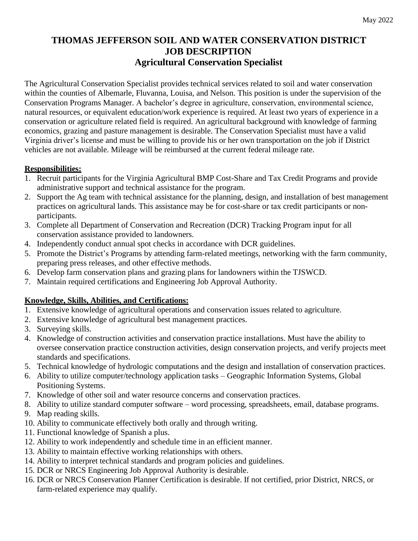## **THOMAS JEFFERSON SOIL AND WATER CONSERVATION DISTRICT JOB DESCRIPTION Agricultural Conservation Specialist**

The Agricultural Conservation Specialist provides technical services related to soil and water conservation within the counties of Albemarle, Fluvanna, Louisa, and Nelson. This position is under the supervision of the Conservation Programs Manager. A bachelor's degree in agriculture, conservation, environmental science, natural resources, or equivalent education/work experience is required. At least two years of experience in a conservation or agriculture related field is required. An agricultural background with knowledge of farming economics, grazing and pasture management is desirable. The Conservation Specialist must have a valid Virginia driver's license and must be willing to provide his or her own transportation on the job if District vehicles are not available. Mileage will be reimbursed at the current federal mileage rate.

## **Responsibilities:**

- 1. Recruit participants for the Virginia Agricultural BMP Cost-Share and Tax Credit Programs and provide administrative support and technical assistance for the program.
- 2. Support the Ag team with technical assistance for the planning, design, and installation of best management practices on agricultural lands. This assistance may be for cost-share or tax credit participants or nonparticipants.
- 3. Complete all Department of Conservation and Recreation (DCR) Tracking Program input for all conservation assistance provided to landowners.
- 4. Independently conduct annual spot checks in accordance with DCR guidelines.
- 5. Promote the District's Programs by attending farm-related meetings, networking with the farm community, preparing press releases, and other effective methods.
- 6. Develop farm conservation plans and grazing plans for landowners within the TJSWCD.
- 7. Maintain required certifications and Engineering Job Approval Authority.

## **Knowledge, Skills, Abilities, and Certifications:**

- 1. Extensive knowledge of agricultural operations and conservation issues related to agriculture.
- 2. Extensive knowledge of agricultural best management practices.
- 3. Surveying skills.
- 4. Knowledge of construction activities and conservation practice installations. Must have the ability to oversee conservation practice construction activities, design conservation projects, and verify projects meet standards and specifications.
- 5. Technical knowledge of hydrologic computations and the design and installation of conservation practices.
- 6. Ability to utilize computer/technology application tasks Geographic Information Systems, Global Positioning Systems.
- 7. Knowledge of other soil and water resource concerns and conservation practices.
- 8. Ability to utilize standard computer software word processing, spreadsheets, email, database programs.
- 9. Map reading skills.
- 10. Ability to communicate effectively both orally and through writing.
- 11. Functional knowledge of Spanish a plus.
- 12. Ability to work independently and schedule time in an efficient manner.
- 13. Ability to maintain effective working relationships with others.
- 14. Ability to interpret technical standards and program policies and guidelines.
- 15. DCR or NRCS Engineering Job Approval Authority is desirable.
- 16. DCR or NRCS Conservation Planner Certification is desirable. If not certified, prior District, NRCS, or farm-related experience may qualify.